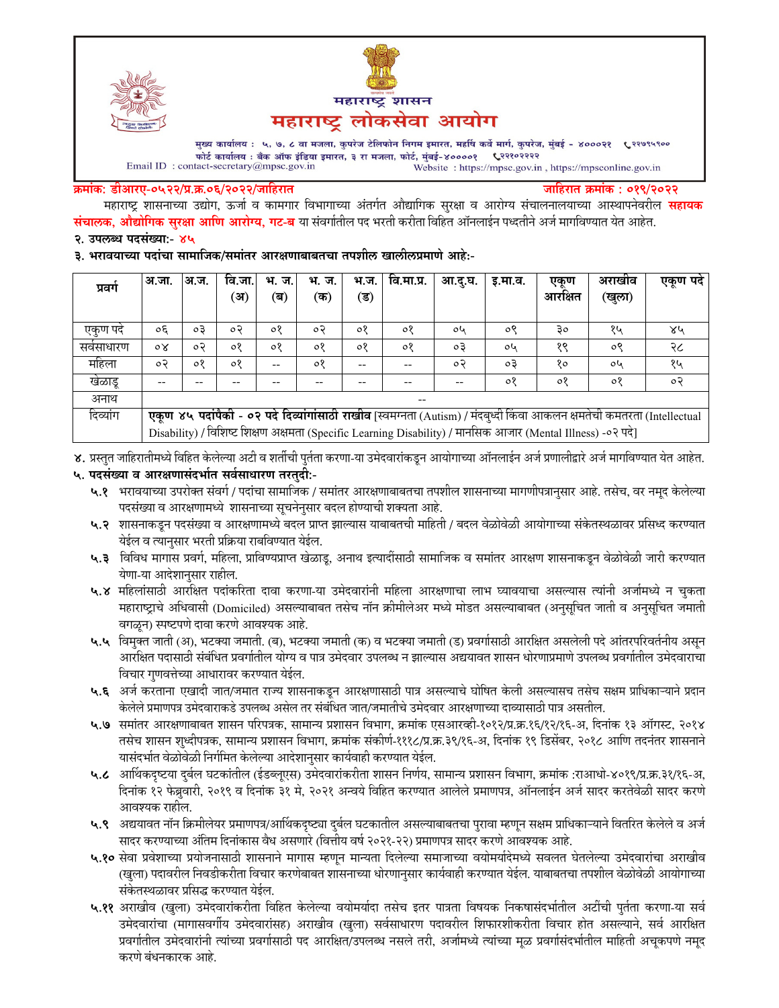



मुख्य कार्यालय : ५, ७, ८ वा मजला, कुपरेज टेलिफोन निगम इमारत, महर्षि कर्वे मार्ग, कुपरेज, मुंबई - ४०००२१ ९२९९९९०० फोर्ट कार्यालय : बँक ऑफ इंडिया इमारत, ३ रा मजला, फोर्ट, मुंबई-४००००१ ९२११०२२२२  $\label{eq:1} \textbf{Email ID: contact-secretary@mpsc.gov.in}$ Website: https://mpsc.gov.in, https://mpsconline.gov.in

#### क्रमांक: डीआरए-०५२२/प्र.क्र.०६/२०२२/जाहिरात

जाहिरात क्रमांक : ०१९/२०२२

महाराष्ट्र शासनाच्या उद्योग, ऊर्जा व कामगार विभागाच्या अंतर्गत औद्यागिक सुरक्षा व आरोग्य संचालनालयाच्या आस्थापनेवरील **सहायक संचालक, औद्योगिक सुरक्षा आणि आरोग्य, गट-ब** या संवर्गातील पद भरती करीता विहित ऑनलाईन पध्दतीने अर्ज मार्गावण्यात येत आहेत. २. उपलब्ध पदसंख्या:- ४५

३. भरावयाच्या पदांचा सामाजिक/समांतर आरक्षणाबाबतचा तपशील खालीलप्रमाणे आहे:-

| प्रवर्ग  | अ.जा.                                                                                                                   | अ.ज.    | वि.जा.<br>(अ) | भ. ज.<br>(ब) | भ. ज.<br>(क) | भ.ज.<br>(ड) | वि.मा.प्र. | आ.दु.घ. | इ.मा.व. | एकण<br>आरक्षित | अराखाव<br>(खुला) | एकूण पदे |
|----------|-------------------------------------------------------------------------------------------------------------------------|---------|---------------|--------------|--------------|-------------|------------|---------|---------|----------------|------------------|----------|
|          |                                                                                                                         |         |               |              |              |             |            |         |         |                |                  |          |
| एकण पद   | oξ                                                                                                                      | oЗ      | οP            | ०१           | o Ə          | ०१          | ०१         | oh      | ०९      | ३०             | १५               | ४५       |
| सवसाधारण | οX                                                                                                                      | $\circ$ | ०१            | ०१           | $\circ$      | ०१          | $\circ$    | oЗ      | oh      | १९             | ०९               | २८       |
| महिला    | ०२                                                                                                                      | $\circ$ | ०१            | --           | $\circ$      | --          | --         | $\circ$ | oЗ      | १०             | oh               | १५       |
| खेळाडू   | --                                                                                                                      |         |               |              |              |             |            | --      | ०१      | ०१             | 08               | ०२       |
| अनाथ     | --                                                                                                                      |         |               |              |              |             |            |         |         |                |                  |          |
| दिव्यांग | एकूण ४५ पदांपैकी - ०२ पदे दिव्यांगांसाठी राखीव [स्वमग्नता (Autism) / मंदबुध्दी किंवा आकलन क्षमतेची कमतरता (Intellectual |         |               |              |              |             |            |         |         |                |                  |          |
|          | Disability) / विशिष्ट शिक्षण अक्षमता (Specific Learning Disability) / मानसिक आजार (Mental Illness) -०२ पदे]             |         |               |              |              |             |            |         |         |                |                  |          |

४. प्रस्तुत जाहिरातीमध्ये विहित केलेल्या अटी व शर्तीची पुर्तता करणा-या उमेदवारांकडून आयोगाच्या ऑनलाईन अर्ज प्रणालीद्वारे अर्ज मार्गावण्यात येत आहेत.

### ५. पदसंख्या व आरक्षणासंदर्भात सर्वसाधारण तरतुदी:-

- ५.१ भरावयाच्या उपरोक्त संवर्ग / पदांचा सामाजिक / समांतर आरक्षणाबाबतचा तपशील शासनाच्या मागणीपत्रानुसार आहे. तसेच, वर नमुद केलेल्या पदसंख्या व आरक्षणामध्ये शासनाच्या सूचनेनुसार बदल होण्याची शक्यता आहे.
- ५.२ शासनाकडून पदसंख्या व आरक्षणामध्ये बदल प्राप्त झाल्यास याबाबतची माहिती / बदल वेळोवेळी आयोगाच्या संकेतस्थळावर प्रसिध्द करण्यात येईल व त्यानुसार भरती प्रक्रिया राबविण्यात येईल.
- ५.३ विविध मागास प्रवर्ग, महिला, प्राविण्यप्राप्त खेळाडू, अनाथ इत्यादींसाठी सामाजिक व समांतर आरक्षण शासनाकडून वेळोवेळी जारी करण्यात येणा-या आदेशानुसार राहील.
- ५.४ महिलांसाठी आरक्षित पदांकरिता दावा करणा-या उमेदवारांनी महिला आरक्षणाचा लाभ घ्यावयाचा असल्यास त्यांनी अर्जामध्ये न चुकता महाराष्ट्राचे अधिवासी (Domiciled) असल्याबाबत तसेच नॉन क्रीमीलेअर मध्ये मोडत असल्याबाबत (अनुसूचित जाती व अनुसूचित जमाती वगळून) स्पष्टपणे दावा करणे आवश्यक आहे.
- ५.५ विमुक्त जाती (अ), भटक्या जमाती. (ब), भटक्या जमाती (क) व भटक्या जमाती (ड) प्रवर्गासाठी आरक्षित असलेली पदे आंतरपरिवर्तनीय असून आरक्षित पदासाठी संबंधित प्रवर्गातील योग्य व पात्र उमेदवार उपलब्ध न झाल्यास अद्ययावत शासन धोरणाप्रमाणे उपलब्ध प्रवर्गातील उमेदवाराचा विचार गुणवत्तेच्या आधारावर करण्यात येईल.
- ५.६ अर्ज करताना एखादी जात/जमात राज्य शासनाकडून आरक्षणासाठी पात्र असल्याचे घोषित केली असल्यासच तसेच सक्षम प्राधिकाऱ्याने प्रदान केलेले प्रमाणपत्र उमेदवाराकडे उपलब्ध असेल तर संबंधित जात/जमातीचे उमेदवार आरक्षणाच्या दाव्यासाठी पात्र असतील.
- ५.७ समांतर आरक्षणाबाबत शासन परिपत्रक, सामान्य प्रशासन विभाग, क्रमांक एसआरव्ही-१०१२/प्र.क्र.१६/१२/१६-अ, दिनांक १३ ऑगस्ट, २०१४ तसेच शासन शुध्दीपत्रक, सामान्य प्रशासन विभाग, क्रमांक संकोर्ण-१११८/प्र.क्र.३९/१६-अ, दिनांक १९ डिसेंबर, २०१८ आणि तदनंतर शासनाने यासंदर्भात वेळोवेळी निर्गमित केलेल्या आदेशानुसार कार्यवाही करण्यात येईल.
- ५.८ आर्थिकदृष्टया दुर्बल घटकांतील (ईडब्लूएस) उमेदवारांकरीता शासन निर्णय, सामान्य प्रशासन विभाग, क्रमांक :राआधो-४०१९/प्र.क्र.३१/१६-अ, दिनांक १२ फेब्रुवारी, २०१९ व दिनांक ३१ मे, २०२१ अन्वये विहित करण्यात आलेले प्रमाणपत्र, ऑनलाईन अर्ज सादर करतेवेळी सादर करणे आवश्यक राहील.
- ५.९ अद्ययावत नॉन क्रिमीलेयर प्रमाणपत्र/आर्थिकदृष्ट्या दुर्बल घटकातील असल्याबाबतचा पुरावा म्हणून सक्षम प्राधिकाऱ्याने वितरित केलेले व अर्ज सादर करण्याच्या अंतिम दिनांकास वैध असणारे (वित्तीय वर्ष २०२१-२२) प्रमाणपत्र सादर करणे आवश्यक आहे.
- ५.१० सेवा प्रवेशाच्या प्रयोजनासाठी शासनाने मागास म्हणून मान्यता दिलेल्या समाजाच्या वयोमर्यादेमध्ये सवलत घेतलेल्या उमेदवारांचा अराखीव (खुला) पदावरील निवडीकरीता विचार करणेबाबत शासनाच्या धोरणानुसार कार्यवाही करण्यात येईल. याबाबतचा तपशील वेळोवेळी आयोगाच्या संकेतस्थळावर प्रसिद्ध करण्यात येईल.
- ५.११ अराखीव (खुला) उमेदवारांकरीता विहित केलेल्या वयोमर्यादा तसेच इतर पात्रता विषयक निकषासंदर्भातील अटींची पुर्तता करणा-या सर्व उमेदवारांचा (मागासवर्गीय उमेदवारांसह) अराखीव (खुला) सर्वसाधारण पदावरील शिफारशीकरीता विचार होत असल्याने, सर्व आरक्षित प्रवर्गातील उमेदवारांनी त्यांच्या प्रवर्गासाठी पद आरक्षित/उपलब्ध नसले तरी, अर्जामध्ये त्यांच्या मूळ प्रवर्गासंदर्भातील माहिती अचूकपणे नमूद करणे बंधनकारक आहे.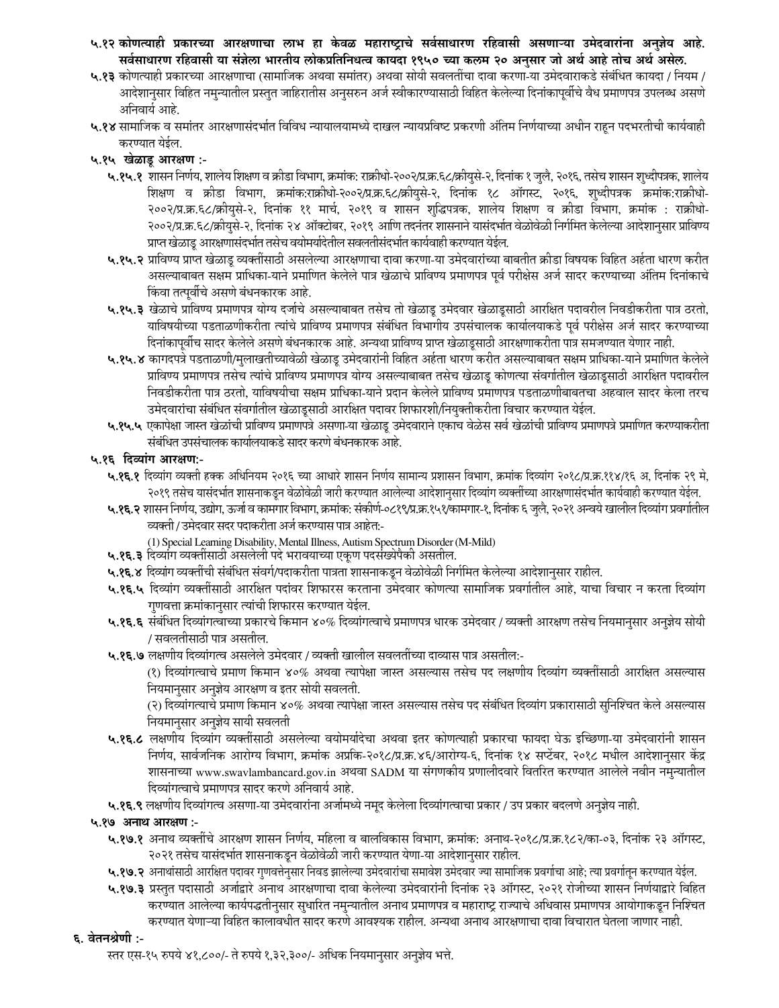- ५.१२ कोणत्याही प्रकारच्या आरक्षणाचा लाभ हा केवळ महाराष्ट्राचे सर्वसाधारण रहिवासी असणाऱ्या उमेदवारांना अनुज्ञेय आहे. सर्वसाधारण रहिवासी या संज्ञेला भारतीय लोकप्रतिनिधत्व कायदा १९५० च्या कलम २० अनुसार जो अर्थ आहे तोच अर्थ असेल.
- ५.१३ कोणत्याही प्रकारच्या आरक्षणाचा (सामाजिक अथवा समांतर) अथवा सोयी सवलतींचा दावा करणा-या उमेदवाराकडे संबंधित कायदा / नियम / आदेशानुसार विहित नमुन्यातील प्रस्तुत जाहिरातीस अनुसरुन अर्ज स्वीकारण्यासाठी विहित केलेल्या दिनांकापूर्वीचे वैध प्रमाणपत्र उपलब्ध असणे अनिवार्य आहे.
- ५.१४ सामाजिक व समांतर आरक्षणासंदर्भात विविध न्यायालयामध्ये दाखल न्यायप्रविष्ट प्रकरणी अंतिम निर्णयाच्या अधीन राहून पदभरतीची कार्यवाही करण्यात येईल.

# ५.१५ खेळाडू आरक्षण :-

- ५.१५.१ शासन निर्णय, शालेय शिक्षण व क्रीडा विभाग, क्रमांक: राक्रीधो-२००२/प्र.क्र.६८/क्रीयुसे-२, दिनांक १ जुलै, २०१६, तसेच शासन शुध्दीपत्रक, शालेय शिक्षण व क्रीडा विभाग, क्रमांक:राक्रीधो-२००२/प्र.क.६८/क्रीयुसे-२, दिनांक १८ ऑगस्ट, २०१६, शुध्दीपत्रक क्रमांक:राक्रीधो-२००२/प्र.क्र.६८/क्रीयुसे-२, दिनांक ११ मार्च, २०१९ व शासन शुद्धिपत्रक, शालेय शिक्षण व क्रीडा विभाग, क्रमांक : राक्रीधो-२००२/प्र.क्र.६८/क्रीयुसे-२, दिनांक २४ ऑक्टोबर, २०१९ आणि तदनंतर शासनाने यासंदर्भात वेळोवेळी निर्गमित केलेल्या आदेशानुसार प्राविण्य प्राप्त खेळाडू आरक्षणासंदर्भात तसेच वयोमर्यादेतील सवलतीसंदर्भात कार्यवाही करण्यात येईल.
- ५.१५.२ प्राविण्य प्राप्त खेळाडू व्यक्तींसाठी असलेल्या आरक्षणाचा दावा करणा-या उमेदवारांच्या बाबतीत क्रीडा विषयक विहित अर्हता धारण करीत असल्याबाबत सक्षम प्राधिका-याने प्रमाणित केलेले पात्र खेळाचे प्राविण्य प्रमाणपत्र पूर्व परीक्षेस अर्ज सादर करण्याच्या अंतिम दिनांकाचे किंवा तत्पूर्वीचे असणे बंधनकारक आहे.
- ५.१५.३ खेळाचे प्राविण्य प्रमाणपत्र योग्य दर्जाचे असल्याबाबत तसेच तो खेळाडू उमेदवार खेळाडूसाठी आरक्षित पदावरील निवडीकरीता पात्र ठरतो, याविषयीच्या पडताळणीकरीता त्यांचे प्राविण्य प्रमाणपत्र संबंधित विभागीय उपसंचालक कार्यालयाकडे पूर्व परीक्षेस अर्ज सादर करण्याच्या दिनांकापूर्वीच सादर केलेले असणे बंधनकारक आहे. अन्यथा प्राविण्य प्राप्त खेळाडूसाठी आरक्षणाकरीता पात्र समजण्यात येणार नाही.
- ५.१५.४ कागदपत्रे पडताळणी/मुलाखतीच्यावेळी खेळाडू उमेदवारांनी विहित अर्हता धारण करीत असल्याबाबत सक्षम प्राधिका-याने प्रमाणित केलेले प्राविण्य प्रमाणपत्र तसेच त्यांचे प्राविण्य प्रमाणपत्र योग्य असल्याबाबत तसेच खेळाडू कोणत्या संवर्गातील खेळाडूसाठी आरक्षित पदावरील निवडीकरीता पात्र ठरतो, याविषयीचा सक्षम प्राधिका-याने प्रदान केलेले प्राविण्य प्रमाणपत्र पडताळणीबाबतचा अहवाल सादर केला तरच उमेदवारांचा संबंधित संवर्गातील खेळाडूसाठी आरक्षित पदावर शिफारशी/नियुक्तीकरीता विचार करण्यात येईल.
- ५.१५.५ एकापेक्षा जास्त खेळांची प्राविण्य प्रमाणपत्रे असणा-या खेळाडू उमेदवाराने एकाच वेळेस सर्व खेळांची प्राविण्य प्रमाणपत्रे प्रमाणित करण्याकरीता संबंधित उपसंचालक कार्यालयाकडे सादर करणे बंधनकारक आहे.

### ५.१६ दिव्यांग आरक्षण:-

- ५.**१६.१** दिव्यांग व्यक्ती हक्क अधिनियम २०१६ च्या आधारे शासन निर्णय सामान्य प्रशासन विभाग, क्रमांक दिव्यांग २०१८/प्र.क्र.११४/१६ अ, दिनांक २९ मे, २०१९ तसेच यासंदर्भात शासनाकडून वेळोवेळी जारी करण्यात आलेल्या आदेशानुसार दिव्यांग व्यक्तींच्या आरक्षणासंदर्भात कार्यवाही करण्यात येईल.
- ५.**१६.२** शासन निर्णय, उद्योग, ऊर्जा व कामगार विभाग, क्रमांक: संकीर्ण-०८१९/प्र.क्र.१५१/कामगार-१, दिनांक ६ जुलै, २०२१ अन्वये खालील दिव्यांग प्रवर्गातील व्यक्ती / उमेदवार सदर पदाकरीता अर्ज करण्यास पात्र आहेत:-
	- (1) Special Learning Disability, Mental Illness, Autism Spectrum Disorder (M-Mild)
- ५.१६.३ दिव्यांग व्यक्तींसाठी असलेली पदे भरावयाच्या एकूण पदसंख्येपैकी असतील.
- ५.**१६.४** दिव्यांग व्यक्तींची संबंधित संवर्ग/पदाकरीता पात्रता शासनाकडून वेळोवेळी निर्गमित केलेल्या आदेशानुसार राहील.
- ५.**१६.५** दिव्यांग व्यक्तींसाठी आरक्षित पदांवर शिफारस करताना उमेदवार कोणत्या सामाजिक प्रवर्गातील आहे, याचा विचार न करता दिव्यांग गुणवत्ता क्रमांकानुसार त्यांची शिफारस करण्यात येईल.
- ५.१६.६ संबंधित दिव्यांगत्वाच्या प्रकारचे किमान ४०% दिव्यांगत्वाचे प्रमाणपत्र धारक उमेदवार / व्यक्ती आरक्षण तसेच नियमानुसार अनुज्ञेय सोयी / सवलतीसाठी पात्र असतील.
- ५.१६.७ लक्षणीय दिव्यांगत्व असलेले उमेदवार / व्यक्ती खालील सवलतींच्या दाव्यास पात्र असतील:-

(१) दिव्यांगत्वाचे प्रमाण किमान ४०% अथवा त्यापेक्षा जास्त असल्यास तसेच पद लक्षणीय दिव्यांग व्यक्तींसाठी आरक्षित असल्यास नियमानुसार अनुज्ञेय आरक्षण व इतर सोयी सवलती.

(२) दिव्यांगत्याचे प्रमाण किमान ४०% अथवा त्यापेक्षा जास्त असल्यास तसेच पद संबंधित दिव्यांग प्रकारासाठी सुनिश्चित केले असल्यास नियमानुसार अनुज्ञेय सायी सवलती

- ५.१६.८ लक्षणीय दिव्यांग व्यक्तींसाठी असलेल्या वयोमर्यादेचा अथवा इतर कोणत्याही प्रकारचा फायदा घेऊ इच्छिणा-या उमेदवारांनी शासन निर्णय, सार्वजनिक आरोग्य विभाग, क्रमांक अप्रकि-२०१८/प्र.क्र.४६/आरोग्य-६, दिनांक १४ सप्टेंबर, २०१८ मधील आदेशानुसार केंद्र शासनाच्या www.swavlambancard.gov.in अथवा SADM या संगणकीय प्रणालीदवारे वितरित करण्यात आलेले नवीन नमुन्यातील दिव्यांगत्वाचे प्रमाणपत्र सादर करणे अनिवार्य आहे.
- ५.१६.९ लक्षणीय दिव्यांगत्व असणा-या उमेदवारांना अर्जामध्ये नमूद केलेला दिव्यांगत्वाचा प्रकार / उप प्रकार बदलणे अनुज्ञेय नाही.

### ५.१७ अनाथ आरक्षण :-

- ५.१७.१ अनाथ व्यक्तींचे आरक्षण शासन निर्णय, महिला व बालविकास विभाग, क्रमांक: अनाथ-२०१८/प्र.क्र.१८२/का-०३, दिनांक २३ ऑगस्ट, २०२१ तसेच यासंदर्भात शासनाकडून वेळोवेळी जारी करण्यात येणा-या आदेशानुसार राहील.
- ५.१७.२ अनाथांसाठी आरक्षित पदावर गुणवत्तेनुसार निवड झालेल्या उमेदवारांचा समावेश उमेदवार ज्या सामाजिक प्रवर्गाचा आहे; त्या प्रवर्गातून करण्यात येईल.
- ५.१७.३ प्रस्तुत पदासाठी अर्जाद्वारे अनाथ आरक्षणाचा दावा केलेल्या उमेदवारांनी दिनांक २३ ऑगस्ट, २०२१ रोजीच्या शासन निर्णयाद्वारे विहित करण्यात आलेल्या कार्यपद्धतीनुसार सुधारित नमुन्यातील अनाथ प्रमाणपत्र व महाराष्ट्र राज्याचे अधिवास प्रमाणपत्र आयोगाकडून निश्चित करण्यात येणाऱ्या विहित कालावधीत सादर करणे आवश्यक राहील. अन्यथा अनाथ आरक्षणाचा दावा विचारात घेतला जाणार नाही.

### ६. वेतनश्रेणी :-

स्तर एस-१५ रुपये ४१,८००/- ते रुपये १,३२,३००/- अधिक नियमानुसार अनुज्ञेय भत्ते.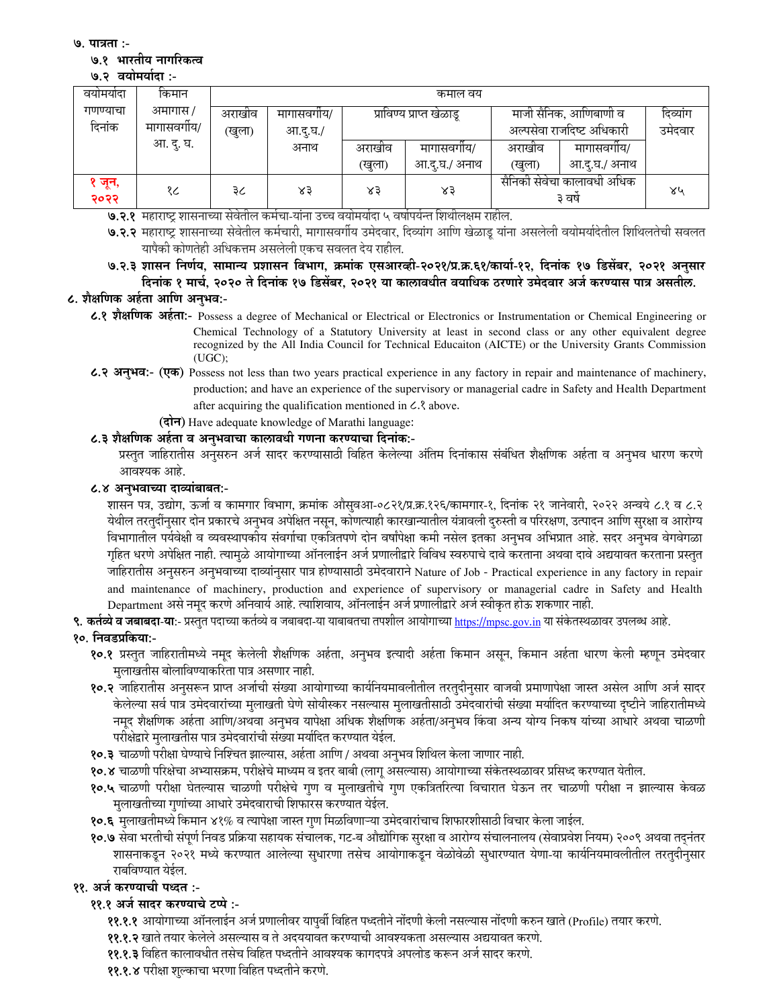**9. पात्रता:-**

### ७.१ भारतीय नागरिकत्व

### ७.२ वयोमयोदा :-

| वयामयोदा      | किमान      | कमाल वय              |          |        |                          |                                      |               |    |  |
|---------------|------------|----------------------|----------|--------|--------------------------|--------------------------------------|---------------|----|--|
| गणण्याचा      | अमागास /   | अराखीव<br>मागासवगीय/ |          |        | प्राविण्य प्राप्त खेळाडू | माजी सैनिक, आणिबाणी व                | दिव्यांग      |    |  |
| दिनांक        | मागासवगीय/ |                      | आ.दू.घ./ |        |                          | अल्पसेवा राजदिष्ट अधिकारी            | उमेदवार       |    |  |
|               | आ. दु. घ.  |                      | अनाथ     | अराखीव | मागासवगोय/               | अराखीव                               | मागासवगीय/    |    |  |
|               |            |                      |          | (खुला) | आ.द.घ./ अनाथ             | (खुला)                               | आ.द्.घ./ अनाथ |    |  |
| ेजून,<br>२०२२ | १८         | ३८                   | ४३       | ४३     | ४३                       | सैनिकी सेवेचा कालावधी अधिक<br>३ वर्ष |               | ४५ |  |

**७.२.१** महाराष्ट्र शासनाच्या सेवेतील कर्मचा-यांना उच्च वयोमर्यादा ५ वर्षापर्यन्त शिथीलक्षम राहील.

**७.२.२** महाराष्ट्र शासनाच्या सेवेतील कर्मचारी, मागासवर्गीय उमेदवार, दिव्यांग आणि खेळाडू यांना असलेली वयोमर्यादेतील शिथिलतेची सवलत यापैकी कोणतेही अधिकत्तम असलेली एकच सवलत देय राहील.

७.२.३ शासन निर्णय, सामान्य प्रशासन विभाग, क्रमाक एसआरव्ही-२०२१/प्र.क्र.६१/कार्या-१२, दिनाक १७ डिसेंबर, २०२१ अनुसार दिनाक १ मार्च, २०२० ते दिनाक १७ डिसेंबर, २०२१ या कालावधीत वयाधिक ठरणारे उमेदवार अर्ज करण्यास पात्र असतील.

### **८. शैक्षणिक अहेता आणि अनुभव:-**

- **8.1 5@%& :ह9:-** Possess a degree of Mechanical or Electrical or Electronics or Instrumentation or Chemical Engineering or Chemical Technology of a Statutory University at least in second class or any other equivalent degree recognized by the All India Council for Technical Educaiton (AICTE) or the University Grants Commission (UGC);
- **8.2 :K\$23:- ()** Possess not less than two years practical experience in any factory in repair and maintenance of machinery, production; and have an experience of the supervisory or managerial cadre in Safety and Health Department after acquiring the qualification mentioned in  $\mathcal{L}$ . above.

# **(दोन)** Have adequate knowledge of Marathi language:

## **८.३ शैक्षणिक अर्हता व अनुभवाचा कालावधी गणना करण्याचा दिनांक:-**

प्रस्तुत जाहिरातीस अनुसरुन अर्ज सादर करण्यासाठी विहित केलेल्या अंतिम दिनांकास संबंधित शैक्षणिक अर्हता व अनुभव धारण करणे आवश्यक आहे.

### **6.8 अनुभवाच्या दाव्यांबाबत:-**

शासन पत्र, उद्योग, ऊर्जा व कामगार विभाग, क्रमांक औसुवआ-०८२१/प्र.क्र.१२६/कामगार-१, दिनांक २१ जानेवारी, २०२२ अन्वये ८.१ व ८.२ येथील तरतुर्दीनुसार दोन प्रकारचे अनुभव अपेक्षित नसून, कोणत्याही कारखान्यातील यंत्रावली दुरुस्ती व परिरक्षण, उत्पादन आणि सुरक्षा व आरोग्य विभागातील पर्यवेक्षी व व्यवस्थापकीय संवर्गाचा एकत्रितपणे दोन वर्षांपेक्षा कमी नसेल इतका अनुभव अभिप्रात आहे. सदर अनुभव वेगवेगळा गृहित धरणे अपेक्षित नाही. त्यामुळे आयोगाच्या ऑनलाईन अर्ज प्रणालीद्वारे विविध स्वरुपाचे दावे करताना अखवा दावे अद्ययावत करताना प्रस्तुत जाहिरातीस अनुसरुन अनुभवाच्या दाव्यांनुसार पात्र होण्यासाठी उमेदवाराने Nature of Job - Practical experience in any factory in repair and maintenance of machinery, production and experience of supervisory or managerial cadre in Safety and Health Department असे नमूद करणे अनिवार्य आहे. त्याशिवाय, ऑनलाईन अर्ज प्रणालीद्वारे अर्ज स्वीकृत होऊ शकणार नाही.

**९. कर्तव्ये व जबाबदा-या:-** प्रस्तुत पदाच्या कर्तव्ये व जबाबदा-या याबाबतचा तपशील आयोगाच्या <u>https://mpsc.gov.in</u> या संकेतस्थळावर उपलब्ध आहे.

### १०. निवडप्रकिया:-

- **१०.१** प्रस्तुत जाहिरातीमध्ये नमूद केलेली शैक्षणिक अर्हता, अनुभव इत्यादी अर्हता किमान असून, किमान अर्हता धारण केली म्हणून उमेदवार मुलाखतीस बोलाविण्याकरिता पात्र असणार नाही.
- **१०.२** जाहिरातीस अनुसरून प्राप्त अर्जाची संख्या आयोगाच्या कार्यनियमावलीतील तरतुदीनुसार वाजवी प्रमाणापेक्षा जास्त असेल आणि अर्ज सादर केलेल्या सर्व पात्र उमेदवारांच्या मुलाखती घेणे सोयीस्कर नसल्यास मुलाखतीसाठी उमेदवारांची संख्या मर्यादित करण्याच्या दृष्टीने जाहिरातीमध्ये नमूद शैक्षणिक अर्हता आणि/अथवा अनुभव यापेक्षा अधिक शैक्षणिक अर्हता/अनुभव किंवा अन्य योग्य निकष यांच्या आधारे अथवा चाळणी परीक्षेद्वारे मुलाखतीस पात्र उमेदवारांची संख्या मर्यादित करण्यात येईल.
- **१०.३** चाळणी परीक्षा घेण्याचे निश्चित झाल्यास, अर्हता आणि / अथवा अनुभव शिथिल केला जाणार नाही.
- **१०.४** चाळणी परिक्षेचा अभ्यासक्रम, परीक्षेचे माध्यम व इतर बाबी (लागू असल्यास) आयोगाच्या संकेतस्थळावर प्रसिध्द करण्यात येतील.
- **१०.५** चाळणी परीक्षा घेतल्यास चाळणी परीक्षेचे गुण व मुलाखतीचे गुण एकत्रितरित्या विचारात घेऊन तर चाळणी परीक्षा न झाल्यास केवळ मुलाखतीच्या गुणांच्या आधारे उमेदवाराची शिफारस करण्यात येईल.
- **१०.६** मुलाखतीमध्ये किमान ४१% व त्यापेक्षा जास्त गुण मिळविणाऱ्या उमेदवारांचाच शिफारशीसाठी विचार केला जाईल.
- **१०.७** सेवा भरतीची संपूर्ण निवड प्रक्रिया सहायक संचालक, गट-ब औद्योगिक सुरक्षा व आरोग्य संचालनालय (सेवाप्रवेश नियम) २००९ अथवा तद्नंतर शासनाकडून २०२१ मध्ये करण्यात आलेल्या सुधारणा तसेच आयोगाकडून वेळोवेळी सुधारण्यात येणा-या कार्यनियमावलीतील तरतुदीनुसार राबविण्यात येईल.

# <u>११. अर्ज करण्याची पध्दत :-</u>

### ११.१ अर्ज सादर करण्याचे **टप्पे** :-

- **११.१.१** आयोगाच्या ऑनलाईन अर्ज प्रणालीवर यापुर्वी विहित पध्दतीने नोंदणी केली नसल्यास नोंदणी करुन खाते (Profile) तयार करणे.
- <mark>११.१.२</mark> खाते तयार केलेले असल्यास व ते अदययावत करण्याची आवश्यकता असल्यास अद्ययावत करणे.
- **११.१.३** विहित कालावधीत तसेच विहित पध्दतीने आवश्यक कागदपत्रे अपलोड करून अर्ज सादर करणे.
- **११.१.४** परीक्षा शुल्काचा भरणा विहित पध्दतीने करणे.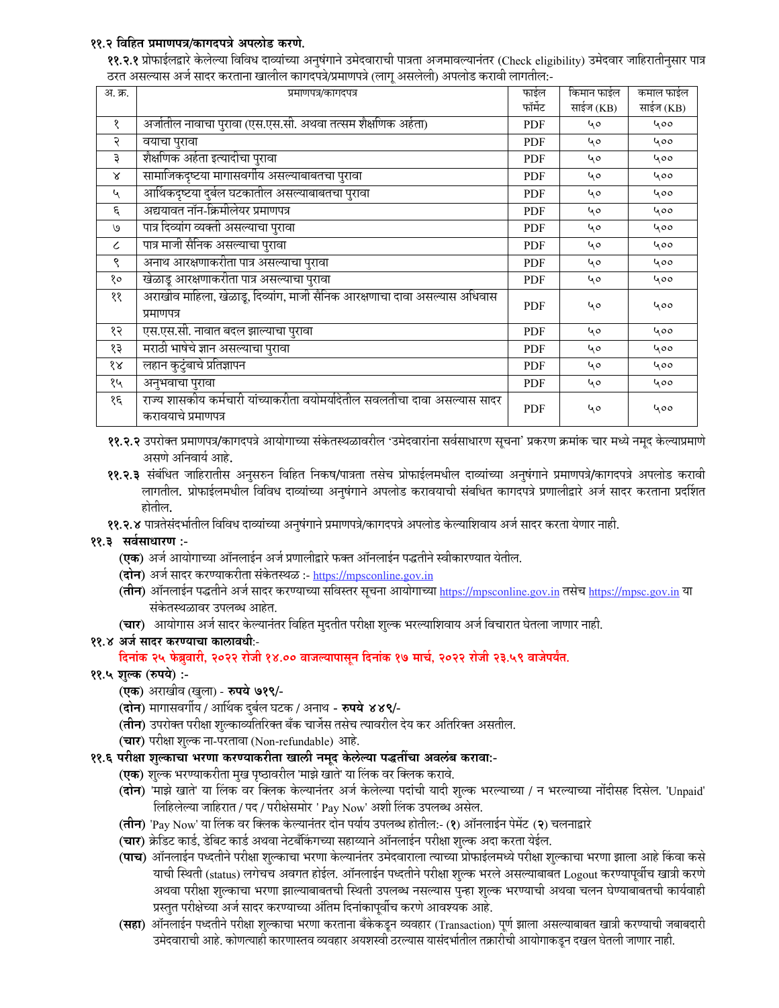### ११.२ विहित प्रमाणपत्र/कागदपत्रे अपलोड करणे.

**११.२.१** प्रोफाईलद्वारे केलेल्या विविध दाव्यांच्या अनुषंगाने उमेदवाराची पात्रता अजमावल्यानंतर (Check eligibility) उमेदवार जाहिरातीनुसार पात्र ठरत असल्यास अर्ज सादर करताना खालील कागदपत्रे/प्रमाणपत्रे (लागू असलेली) अपलोड करावी लागतील:-

| अ. क्र.      | प्रमाणपत्र/कागदपत्र                                                                               | फाईल       | किमान फाईल | कमाल फाईल |
|--------------|---------------------------------------------------------------------------------------------------|------------|------------|-----------|
|              |                                                                                                   | फॉर्मेट    | साईज (KB)  | साईज (KB) |
| १            | अर्जातील नावाचा पुरावा (एस.एस.सी. अथवा तत्सम शैक्षणिक अर्हता)                                     | <b>PDF</b> | 40         | 400       |
| २            | वयाचा पुरावा                                                                                      | <b>PDF</b> | 40         | 400       |
| ३            | शैक्षणिक अर्हता इत्यादीचा पुरावा                                                                  | <b>PDF</b> | 40         | 400       |
| $\mathsf{x}$ | सामाजिकदृष्टया मागासवर्गीय असल्याबाबतचा पुरावा                                                    | PDF        | 40         | 400       |
| ५            | आर्थिकदृष्टया दुर्बल घटकातील असल्याबाबतचा पुरावा                                                  | <b>PDF</b> | 40         | 400       |
| $\epsilon$   | अद्ययावत नॉन-क्रिमीलेयर प्रमाणपत्र                                                                | PDF        | 40         | 400       |
| ٯا           | पात्र दिव्यांग व्यक्ती असल्याचा पुरावा                                                            | PDF        | 40         | 400       |
| $\epsilon$   | पात्र माजी सैनिक असल्याचा पुरावा                                                                  | PDF        | 40         | 400       |
| ९            | अनाथ आरक्षणाकरीता पात्र असल्याचा पुरावा                                                           | <b>PDF</b> | 40         | 400       |
| १०           | खेळाडू आरक्षणाकरीता पात्र असल्याचा पुरावा                                                         | <b>PDF</b> | 40         | 400       |
| $\gamma$     | अराखीव माहिला, खेळाडू, दिव्यांग, माजी सैनिक आरक्षणाचा दावा असल्यास अधिवास<br>प्रमाणपत्र           | <b>PDF</b> | 40         | 400       |
| १२           | एस.एस.सी. नावात बदल झाल्याचा पुरावा                                                               | <b>PDF</b> | 40         | 400       |
| १३           | मराठी भाषेचे ज्ञान असल्याचा पुरावा                                                                | <b>PDF</b> | 40         | 400       |
| १४           | लहान कुटुंबाचे प्रतिज्ञापन                                                                        | PDF        | 40         | 400       |
| १५           | अनुभवाचा पुरावा                                                                                   | PDF        | 40         | 400       |
| १६           | राज्य शासकीय कर्मचारी यांच्याकरीता वयोमर्यादेतील सवलतीचा दावा असल्यास सादर<br>करावयाचे प्रमाणपत्र | <b>PDF</b> | 40         | 400       |

११.२.२ उपरोक्त प्रमाणपत्र/कागदपत्रे आयोगाच्या संकेतस्थळावरील 'उमेदवारांना सर्वसाधारण सूचना' प्रकरण क्रमांक चार मध्ये नमूद केल्याप्रमाणे असणे अनिवार्य आहे.

११.२.३ संबंधित जाहिरातीस अनुसरुन विहित निकष/पात्रता तसेच प्रोफाईलमधील दाव्यांच्या अनुषंगाने प्रमाणपत्रे/कागदपत्रे अपलोड करावी लागतील. प्रोफाईलमधील विविध दाव्यांच्या अनुषंगाने अपलोड करावयाची संबधित कागदपत्रे प्रणालीद्वारे अर्ज सादर करताना प्रदर्शित

११.२.४ पात्रतेसंदर्भातील विविध दाव्यांच्या अनुषंगाने प्रमाणपत्रे/कागदपत्रे अपलोड केल्याशिवाय अर्ज सादर करता येणार नाही.

### ११.३ सर्वसाधारण :-

- **(एक)** अर्ज आयोगाच्या ऑनलाईन अर्ज प्रणालीद्वारे फक्त ऑनलाईन पद्धतीने स्वीकारण्यात येतील.
- (दोन) अर्ज सादर करण्याकरीता संकेतस्थळ :- https://mpsconline.gov.in
- (<mark>तीन</mark>) ऑनलाईन पद्धतीने अर्ज सादर करण्याच्या सविस्तर सूचना आयोगाच्या <u>https://mpsconline.gov.in</u> तसेच <u>https://mpsc.gov.in</u> या संकेतस्थळावर उपलब्ध आहेत.
- (चार) आयोगास अर्ज सादर केल्यानंतर विहित मुदतीत परीक्षा शूल्क भरल्याशिवाय अर्ज विचारात घेतला जाणार नाही.

### ११.४ अर्ज सादर करण्याचा कालावधीः-

दिनांक २५ फेब्रुवारी, २०२२ रोजी १४.०० वाजल्यापासून दिनांक १७ मार्च, २०२२ रोजी २३.५९ वाजेपर्यंत.

- ११.५ शुल्क (रुपये) :-
	- (एक) अराखीव (खुला) रुपये ७१९/-
	- (दोन) मागासवर्गीय / आर्थिक दुर्बल घटक / अनाथ रुपये ४४९/-
	- (तीन) उपरोक्त परीक्षा शुल्काव्यतिरिक्त बँक चार्जेस तसेच त्यावरील देय कर अतिरिक्त असतील.
	- (चार) परीक्षा शुल्क ना-परतावा (Non-refundable) आहे.
- ११.६ परीक्षा शुल्काचा भरणा करण्याकरीता खाली नमूद केलेल्या पद्धतींचा अवलंब करावा:-
	- **(एक)** शुल्क भरण्याकरीता मुख पृष्ठावरील 'माझे खाते' या लिंक वर क्लिक करावे.
	- (दोन) 'माझे खाते' या लिंक वर क्लिक केल्यानंतर अर्ज केलेल्या पदांची यादी शुल्क भरल्याच्या / न भरल्याच्या नोंदीसह दिसेल. 'Unpaid' लिहिलेल्या जाहिरात / पद / परीक्षेसमोर ' Pay Now' अशी लिंक उपलब्ध असेल.
	- (**तीन**) 'Pay Now' या लिंक वर क्लिक केल्यानंतर दोन पर्याय उपलब्ध होतील:- (१) ऑनलाईन पेमेंट (२) चलनाद्वारे
	- (चार) क्रेडिट कार्ड, डेबिट कार्ड अथवा नेटबँकिंगच्या सहाय्याने ऑनलाईन परीक्षा शुल्क अदा करता येईल.
	- (**पाच**) ऑनलाईन पध्दतीने परीक्षा शुल्काचा भरणा केल्यानंतर उमेदवाराला त्याच्या प्रोफाईलमध्ये परीक्षा शुल्काचा भरणा झाला आहे किंवा कसे याची स्थिती (status) लगेचच अवगत होईल. ऑनलाईन पध्दतीने परीक्षा शुल्क भरले असल्याबाबत Logout करण्यापूर्वीच खात्री करणे अथवा परीक्षा शुल्काचा भरणा झाल्याबाबतची स्थिती उपलब्ध नसल्यास पुन्हा शुल्क भरण्याची अथवा चलन घेण्याबाबतची कार्यवाही प्रस्तुत परीक्षेच्या अर्ज सादर करण्याच्या अंतिम दिनांकापूर्वीच करणे आवश्यक आहे.
	- (सहा) ऑनलाईन पध्दतीने परीक्षा शुल्काचा भरणा करताना बँकेकडून व्यवहार (Transaction) पूर्ण झाला असल्याबाबत खात्री करण्याची जबाबदारी उमेदवाराची आहे. कोणत्याही कारणास्तव व्यवहार अयशस्वी ठरल्यास यासंदर्भातील तक्रारीची आयोगाकडून दखल घेतली जाणार नाही.